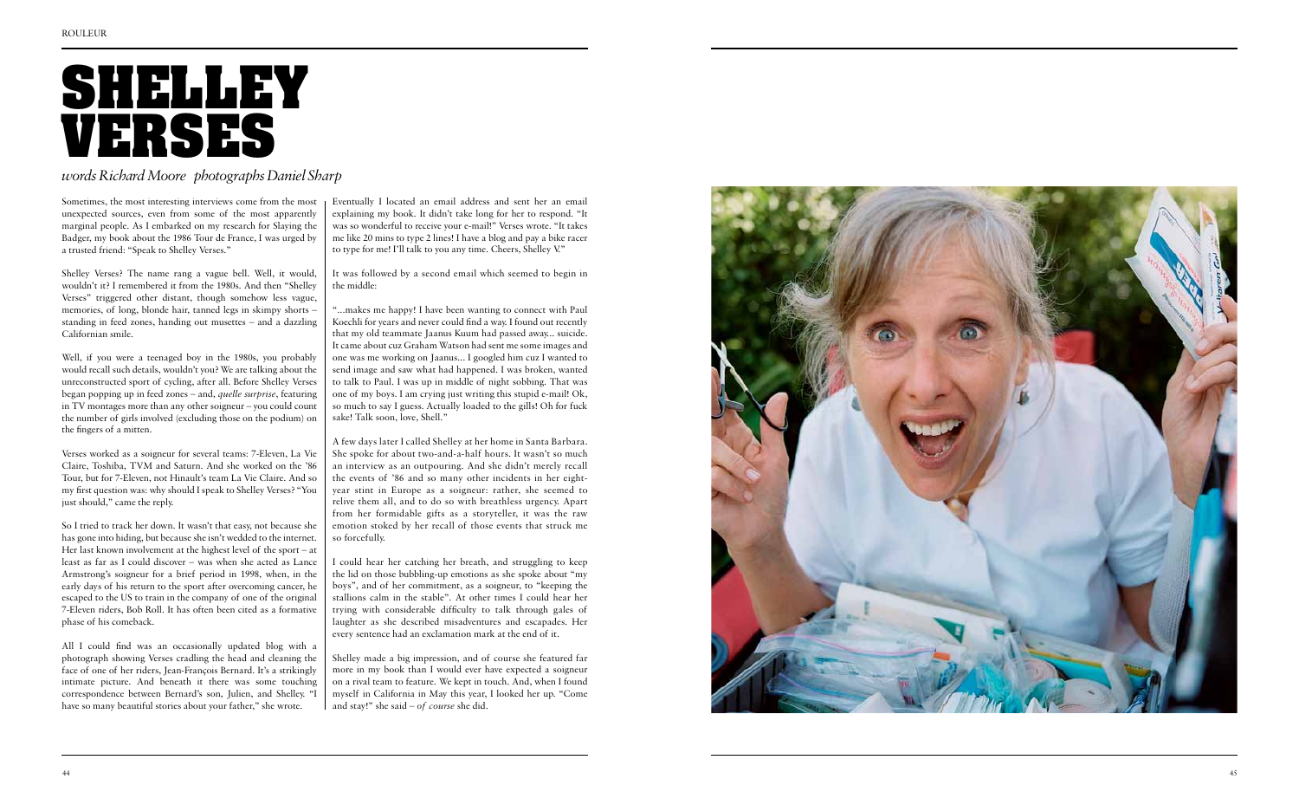# **SHELLEY VERSES**

#### *words Richard Moore photographs Daniel Sharp*

Sometimes, the most interesting interviews come from the most unexpected sources, even from some of the most apparently marginal people. As I embarked on my research for Slaying the Badger, my book about the 1986 Tour de France, I was urged by a trusted friend: "Speak to Shelley Verses."

Shelley Verses? The name rang a vague bell. Well, it would, wouldn't it? I remembered it from the 1980s. And then "Shelley Verses" triggered other distant, though somehow less vague, memories, of long, blonde hair, tanned legs in skimpy shorts – standing in feed zones, handing out musettes – and a dazzling Californian smile.

Well, if you were a teenaged boy in the 1980s, you probably would recall such details, wouldn't you? We are talking about the unreconstructed sport of cycling, after all. Before Shelley Verses began popping up in feed zones – and, *quelle surprise*, featuring in TV montages more than any other soigneur – you could count the number of girls involved (excluding those on the podium) on the fingers of a mitten.

Verses worked as a soigneur for several teams: 7-Eleven, La Vie Claire, Toshiba, TVM and Saturn. And she worked on the '86 Tour, but for 7-Eleven, not Hinault's team La Vie Claire. And so my first question was: why should I speak to Shelley Verses? "You just should," came the reply.

"...makes me happy! I have been wanting to connect with Paul Koechli for years and never could find a way. I found out recently that my old teammate Jaanus Kuum had passed away... suicide. It came about cuz Graham Watson had sent me some images and one was me working on Jaanus... I googled him cuz I wanted to send image and saw what had happened. I was broken, wanted to talk to Paul. I was up in middle of night sobbing. That was one of my boys. I am crying just writing this stupid e-mail! Ok, so much to say I guess. Actually loaded to the gills! Oh for fuck sake! Talk soon, love, Shell."

So I tried to track her down. It wasn't that easy, not because she has gone into hiding, but because she isn't wedded to the internet. Her last known involvement at the highest level of the sport – at least as far as I could discover – was when she acted as Lance Armstrong's soigneur for a brief period in 1998, when, in the early days of his return to the sport after overcoming cancer, he escaped to the US to train in the company of one of the original 7-Eleven riders, Bob Roll. It has often been cited as a formative phase of his comeback.

All I could find was an occasionally updated blog with a photograph showing Verses cradling the head and cleaning the face of one of her riders, Jean-François Bernard. It's a strikingly intimate picture. And beneath it there was some touching correspondence between Bernard's son, Julien, and Shelley. "I have so many beautiful stories about your father," she wrote.

Eventually I located an email address and sent her an email explaining my book. It didn't take long for her to respond. "It was so wonderful to receive your e-mail!" Verses wrote. "It takes me like 20 mins to type 2 lines! I have a blog and pay a bike racer to type for me! I'll talk to you any time. Cheers, Shelley V."

It was followed by a second email which seemed to begin in the middle:

A few days later I called Shelley at her home in Santa Barbara. She spoke for about two-and-a-half hours. It wasn't so much an interview as an outpouring. And she didn't merely recall the events of '86 and so many other incidents in her eightyear stint in Europe as a soigneur: rather, she seemed to relive them all, and to do so with breathless urgency. Apart from her formidable gifts as a storyteller, it was the raw emotion stoked by her recall of those events that struck me so forcefully.

I could hear her catching her breath, and struggling to keep the lid on those bubbling-up emotions as she spoke about "my boys", and of her commitment, as a soigneur, to "keeping the stallions calm in the stable". At other times I could hear her trying with considerable difficulty to talk through gales of laughter as she described misadventures and escapades. Her every sentence had an exclamation mark at the end of it.

Shelley made a big impression, and of course she featured far more in my book than I would ever have expected a soigneur on a rival team to feature. We kept in touch. And, when I found myself in California in May this year, I looked her up. "Come and stay!" she said – *of course* she did.

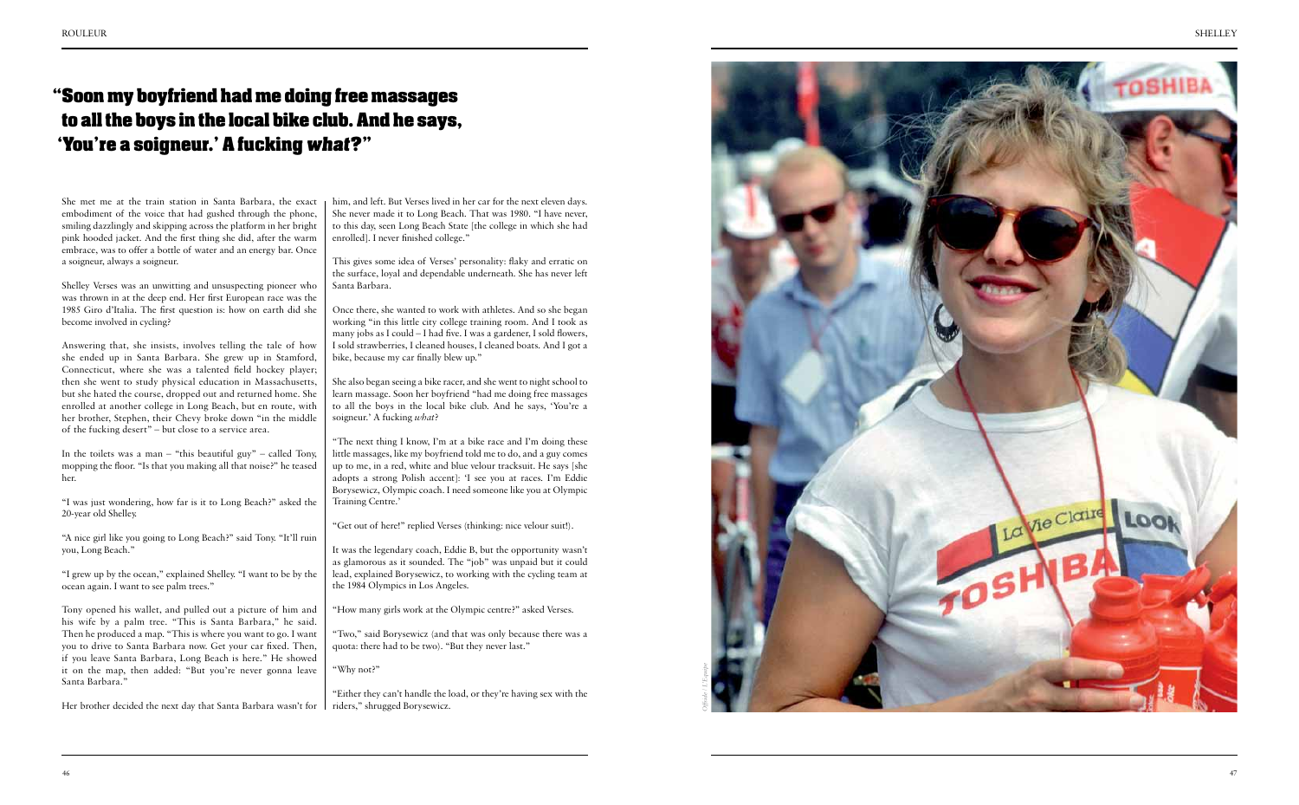She met me at the train station in Santa Barbara, the exact embodiment of the voice that had gushed through the phone, smiling dazzlingly and skipping across the platform in her bright pink hooded jacket. And the first thing she did, after the warm embrace, was to offer a bottle of water and an energy bar. Once a soigneur, always a soigneur.

Shelley Verses was an unwitting and unsuspecting pioneer who was thrown in at the deep end. Her first European race was the 1985 Giro d'Italia. The first question is: how on earth did she become involved in cycling?

Answering that, she insists, involves telling the tale of how she ended up in Santa Barbara. She grew up in Stamford, Connecticut, where she was a talented field hockey player; then she went to study physical education in Massachusetts, but she hated the course, dropped out and returned home. She enrolled at another college in Long Beach, but en route, with her brother, Stephen, their Chevy broke down "in the middle of the fucking desert" – but close to a service area.

In the toilets was a man – "this beautiful guy" – called Tony, mopping the floor. "Is that you making all that noise?" he teased her.

"I was just wondering, how far is it to Long Beach?" asked the 20-year old Shelley.

"A nice girl like you going to Long Beach?" said Tony. "It'll ruin you, Long Beach."

"I grew up by the ocean," explained Shelley. "I want to be by the ocean again. I want to see palm trees."

Tony opened his wallet, and pulled out a picture of him and his wife by a palm tree. "This is Santa Barbara," he said. Then he produced a map. "This is where you want to go. I want you to drive to Santa Barbara now. Get your car fixed. Then, if you leave Santa Barbara, Long Beach is here." He showed it on the map, then added: "But you're never gonna leave Santa Barbara."

Her brother decided the next day that Santa Barbara wasn't for

him, and left. But Verses lived in her car for the next eleven days. She never made it to Long Beach. That was 1980. "I have never, to this day, seen Long Beach State [the college in which she had enrolled]. I never finished college."

This gives some idea of Verses' personality: flaky and erratic on the surface, loyal and dependable underneath. She has never left Santa Barbara.

Once there, she wanted to work with athletes. And so she began working "in this little city college training room. And I took as many jobs as I could – I had five. I was a gardener, I sold flowers, I sold strawberries, I cleaned houses, I cleaned boats. And I got a bike, because my car finally blew up."

She also began seeing a bike racer, and she went to night school to learn massage. Soon her boyfriend "had me doing free massages to all the boys in the local bike club. And he says, 'You're a soigneur.' A fucking *what* ?

"The next thing I know, I'm at a bike race and I'm doing these little massages, like my boyfriend told me to do, and a guy comes up to me, in a red, white and blue velour tracksuit. He says [she adopts a strong Polish accent]: 'I see you at races. I'm Eddie Borysewicz, Olympic coach. I need someone like you at Olympic Training Centre.'

"Get out of here!" replied Verses (thinking: nice velour suit!).

It was the legendary coach, Eddie B, but the opportunity wasn't as glamorous as it sounded. The "job" was unpaid but it could lead, explained Borysewicz, to working with the cycling team at the 1984 Olympics in Los Angeles.

"How many girls work at the Olympic centre?" asked Verses.

"Two," said Borysewicz (and that was only because there was a quota: there had to be two). "But they never last."

"Why not?"

"Either they can't handle the load, or they're having sex with the riders," shrugged Borysewicz.



# **"Soon my boyfriend had me doing free massages to all the boys in the local bike club. And he says, 'You're a soigneur.' A fucking what ? "**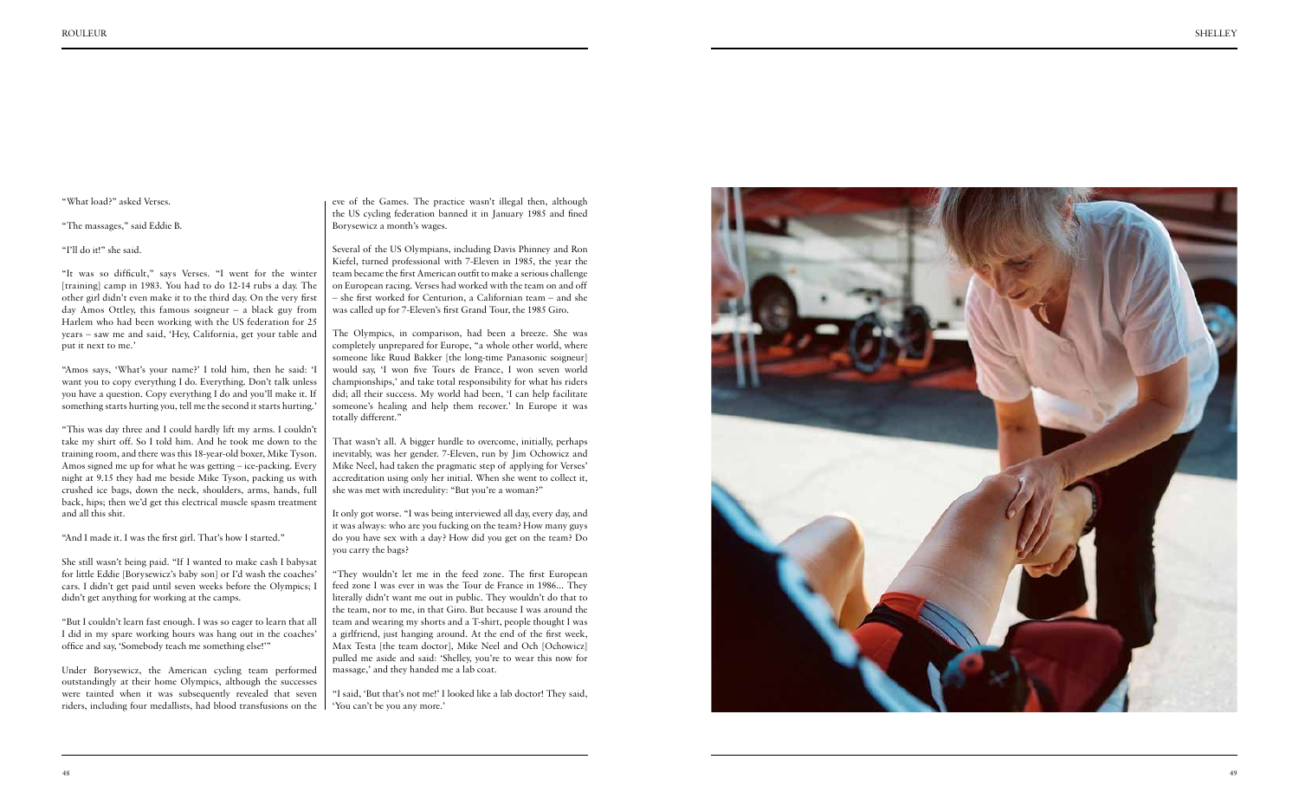"What load?" asked Verses.

"The massages," said Eddie B.

"I'll do it!" she said.

"It was so difficult," says Verses. "I went for the winter [training] camp in 1983. You had to do 12-14 rubs a day. The other girl didn't even make it to the third day. On the very first day Amos Ottley, this famous soigneur – a black guy from Harlem who had been working with the US federation for 25 years – saw me and said, 'Hey, California, get your table and put it next to me.'

"Amos says, 'What's your name?' I told him, then he said: 'I want you to copy everything I do. Everything. Don't talk unless you have a question. Copy everything I do and you'll make it. If something starts hurting you, tell me the second it starts hurting.'

"This was day three and I could hardly lift my arms. I couldn't take my shirt off. So I told him. And he took me down to the training room, and there was this 18-year-old boxer, Mike Tyson. Amos signed me up for what he was getting – ice-packing. Every night at 9.15 they had me beside Mike Tyson, packing us with crushed ice bags, down the neck, shoulders, arms, hands, full back, hips; then we'd get this electrical muscle spasm treatment and all this shit.

"And I made it. I was the first girl. That's how I started."

She still wasn't being paid. "If I wanted to make cash I babysat for little Eddie [Borysewicz's baby son] or I'd wash the coaches' cars. I didn't get paid until seven weeks before the Olympics; I didn't get anything for working at the camps.

"But I couldn't learn fast enough. I was so eager to learn that all I did in my spare working hours was hang out in the coaches' office and say, 'Somebody teach me something else!'"

Under Borysewicz, the American cycling team performed outstandingly at their home Olympics, although the successes were tainted when it was subsequently revealed that seven riders, including four medallists, had blood transfusions on the

eve of the Games. The practice wasn't illegal then, although the US cycling federation banned it in January 1985 and fined Borysewicz a month's wages.

Several of the US Olympians, including Davis Phinney and Ron Kiefel, turned professional with 7-Eleven in 1985, the year the team became the first American outfit to make a serious challenge on European racing. Verses had worked with the team on and off – she first worked for Centurion, a Californian team – and she was called up for 7-Eleven's first Grand Tour, the 1985 Giro.

The Olympics, in comparison, had been a breeze. She was completely unprepared for Europe, "a whole other world, where someone like Ruud Bakker [the long-time Panasonic soigneur] would say, 'I won five Tours de France, I won seven world championships,' and take total responsibility for what his riders did; all their success. My world had been, 'I can help facilitate someone's healing and help them recover.' In Europe it was totally different."

That wasn't all. A bigger hurdle to overcome, initially, perhaps inevitably, was her gender. 7-Eleven, run by Jim Ochowicz and Mike Neel, had taken the pragmatic step of applying for Verses' accreditation using only her initial. When she went to collect it, she was met with incredulity: "But you're a woman?"

It only got worse. "I was being interviewed all day, every day, and it was always: who are you fucking on the team? How many guys do you have sex with a day? How did you get on the team? Do you carry the bags?

"They wouldn't let me in the feed zone. The first European feed zone I was ever in was the Tour de France in 1986... They literally didn't want me out in public. They wouldn't do that to the team, nor to me, in that Giro. But because I was around the team and wearing my shorts and a T-shirt, people thought I was a girlfriend, just hanging around. At the end of the first week, Max Testa [the team doctor], Mike Neel and Och [Ochowicz] pulled me aside and said: 'Shelley, you're to wear this now for massage,' and they handed me a lab coat.

"I said, 'But that's not me!' I looked like a lab doctor! They said, 'You can't be you any more.'

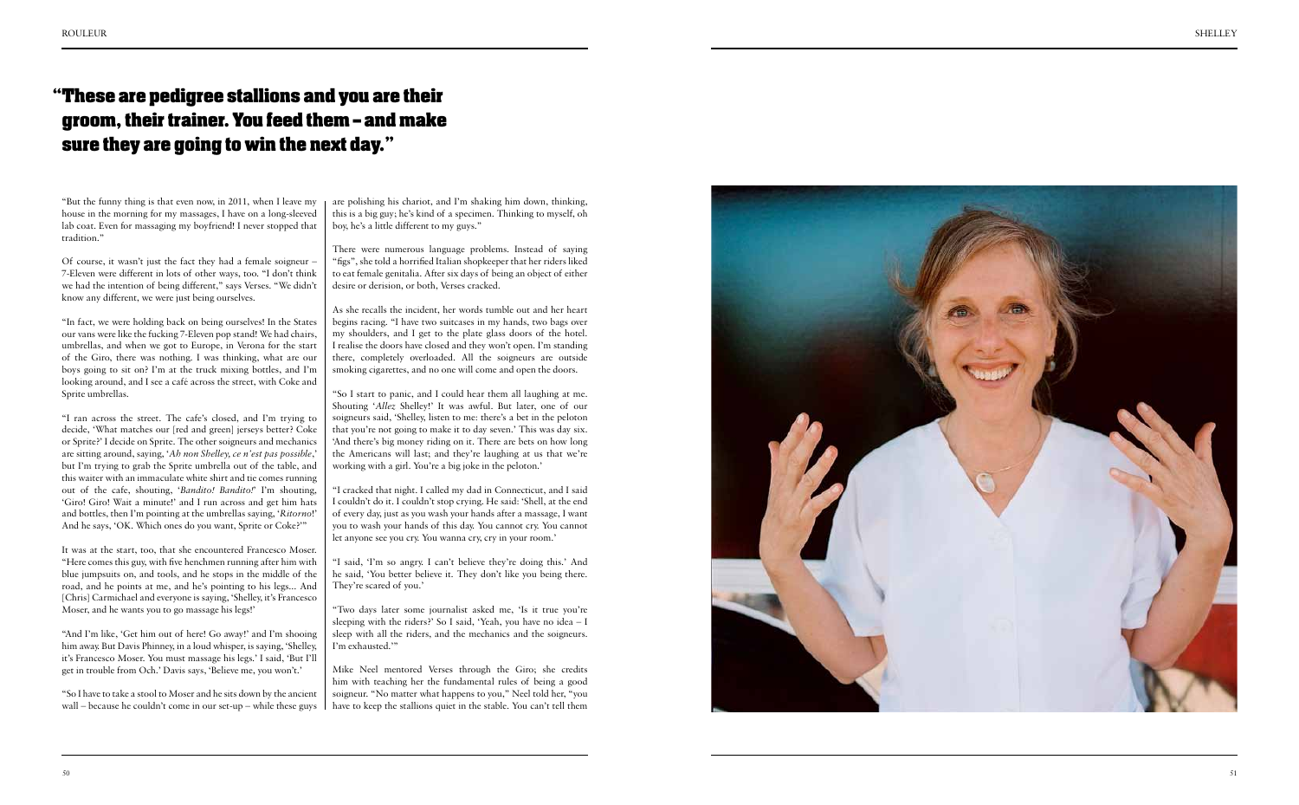"But the funny thing is that even now, in 2011, when I leave my house in the morning for my massages, I have on a long-sleeved lab coat. Even for massaging my boyfriend! I never stopped that tradition."

Of course, it wasn't just the fact they had a female soigneur – 7-Eleven were different in lots of other ways, too. "I don't think we had the intention of being different," says Verses. "We didn't know any different, we were just being ourselves.

"In fact, we were holding back on being ourselves! In the States our vans were like the fucking 7-Eleven pop stand! We had chairs, umbrellas, and when we got to Europe, in Verona for the start of the Giro, there was nothing. I was thinking, what are our boys going to sit on? I'm at the truck mixing bottles, and I'm looking around, and I see a café across the street, with Coke and Sprite umbrellas.

It was at the start, too, that she encountered Francesco Moser. "Here comes this guy, with five henchmen running after him with blue jumpsuits on, and tools, and he stops in the middle of the road, and he points at me, and he's pointing to his legs... And [Chris] Carmichael and everyone is saying, 'Shelley, it's Francesco Moser, and he wants you to go massage his legs!'

"I ran across the street. The cafe's closed, and I'm trying to decide, 'What matches our [red and green] jerseys better? Coke or Sprite?' I decide on Sprite. The other soigneurs and mechanics are sitting around, saying, '*Ah non Shelley, ce n'est pas possible*,' but I'm trying to grab the Sprite umbrella out of the table, and this waiter with an immaculate white shirt and tie comes running out of the cafe, shouting, '*Bandito! Bandito!*' I'm shouting, 'Giro! Giro! Wait a minute!' and I run across and get him hats and bottles, then I'm pointing at the umbrellas saying, '*Ritorno*!' And he says, 'OK. Which ones do you want, Sprite or Coke?'"

"And I'm like, 'Get him out of here! Go away!' and I'm shooing him away. But Davis Phinney, in a loud whisper, is saying, 'Shelley, it's Francesco Moser. You must massage his legs.' I said, 'But I'll get in trouble from Och.' Davis says, 'Believe me, you won't.'

"So I have to take a stool to Moser and he sits down by the ancient wall – because he couldn't come in our set-up – while these guys are polishing his chariot, and I'm shaking him down, thinking, this is a big guy; he's kind of a specimen. Thinking to myself, oh boy, he's a little different to my guys."

There were numerous language problems. Instead of saying "figs", she told a horrified Italian shopkeeper that her riders liked to eat female genitalia. After six days of being an object of either desire or derision, or both, Verses cracked.

As she recalls the incident, her words tumble out and her heart begins racing. "I have two suitcases in my hands, two bags over my shoulders, and I get to the plate glass doors of the hotel. I realise the doors have closed and they won't open. I'm standing there, completely overloaded. All the soigneurs are outside smoking cigarettes, and no one will come and open the doors.

"So I start to panic, and I could hear them all laughing at me. Shouting '*Allez* Shelley!' It was awful. But later, one of our soigneurs said, 'Shelley, listen to me: there's a bet in the peloton that you're not going to make it to day seven.' This was day six. 'And there's big money riding on it. There are bets on how long the Americans will last; and they're laughing at us that we're working with a girl. You're a big joke in the peloton.'

"I cracked that night. I called my dad in Connecticut, and I said I couldn't do it. I couldn't stop crying. He said: 'Shell, at the end of every day, just as you wash your hands after a massage, I want you to wash your hands of this day. You cannot cry. You cannot let anyone see you cry. You wanna cry, cry in your room.'

"I said, 'I'm so angry. I can't believe they're doing this.' And he said, 'You better believe it. They don't like you being there. They're scared of you.'

"Two days later some journalist asked me, 'Is it true you're sleeping with the riders?' So I said, 'Yeah, you have no idea – I sleep with all the riders, and the mechanics and the soigneurs. I'm exhausted.'"

Mike Neel mentored Verses through the Giro; she credits him with teaching her the fundamental rules of being a good soigneur. "No matter what happens to you," Neel told her, "you have to keep the stallions quiet in the stable. You can't tell them



# **"These are pedigree stallions and you are their groom, their trainer. You feed them – and make sure they are going to win the next day. "**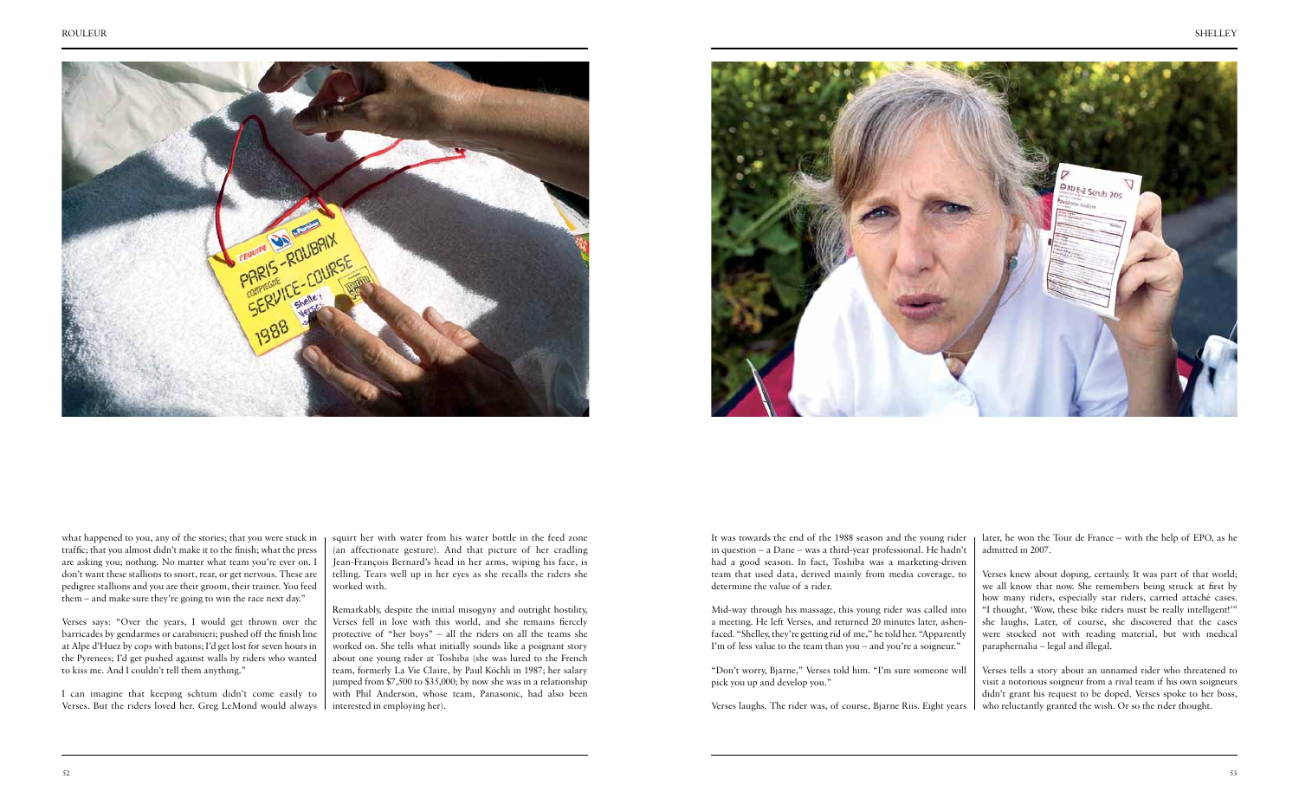It was towards the end of the 1988 season and the young rider in question – a Dane – was a third-year professional. He hadn't had a good season. In fact, Toshiba was a marketing-driven determine the value of a rider.

"Don't worry, Bjarne," Verses told him. "I'm sure someone will pick you up and develop you."

team that used data, derived mainly from media coverage, to Mid-way through his massage, this young rider was called into a meeting. He left Verses, and returned 20 minutes later, ashenfaced. "Shelley, they're getting rid of me," he told her. "Apparently I'm of less value to the team than you – and you're a soigneur." Verses knew about doping, certainly. It was part of that world; we all know that now. She remembers being struck at first by how many riders, especially star riders, carried attaché cases. "I thought, 'Wow, these bike riders must be really intelligent!'" she laughs. Later, of course, she discovered that the cases were stocked not with reading material, but with medical paraphernalia – legal and illegal.

later, he won the Tour de France – with the help of EPO, as he admitted in 2007.

Verses laughs. The rider was, of course, Bjarne Riis. Eight years Verses tells a story about an unnamed rider who threatened to visit a notorious soigneur from a rival team if his own soigneurs didn't grant his request to be doped. Verses spoke to her boss, who reluctantly granted the wish. Or so the rider thought.

what happened to you, any of the stories; that you were stuck in traffic; that you almost didn't make it to the finish; what the press are asking you; nothing. No matter what team you're ever on. I don't want these stallions to snort, rear, or get nervous. These are pedigree stallions and you are their groom, their trainer. You feed them – and make sure they're going to win the race next day."

Verses says: "Over the years, I would get thrown over the barricades by gendarmes or carabinieri; pushed off the finish line at Alpe d'Huez by cops with batons; I'd get lost for seven hours in the Pyrenees; I'd get pushed against walls by riders who wanted to kiss me. And I couldn't tell them anything."

I can imagine that keeping schtum didn't come easily to Verses. But the riders loved her. Greg LeMond would always

squirt her with water from his water bottle in the feed zone (an affectionate gesture). And that picture of her cradling Jean-François Bernard's head in her arms, wiping his face, is telling. Tears well up in her eyes as she recalls the riders she worked with.

Remarkably, despite the initial misogyny and outright hostility, Verses fell in love with this world, and she remains fiercely protective of "her boys" – all the riders on all the teams she worked on. She tells what initially sounds like a poignant story about one young rider at Toshiba (she was lured to the French team, formerly La Vie Claire, by Paul Köchli in 1987; her salary jumped from \$7,500 to \$35,000; by now she was in a relationship with Phil Anderson, whose team, Panasonic, had also been interested in employing her).



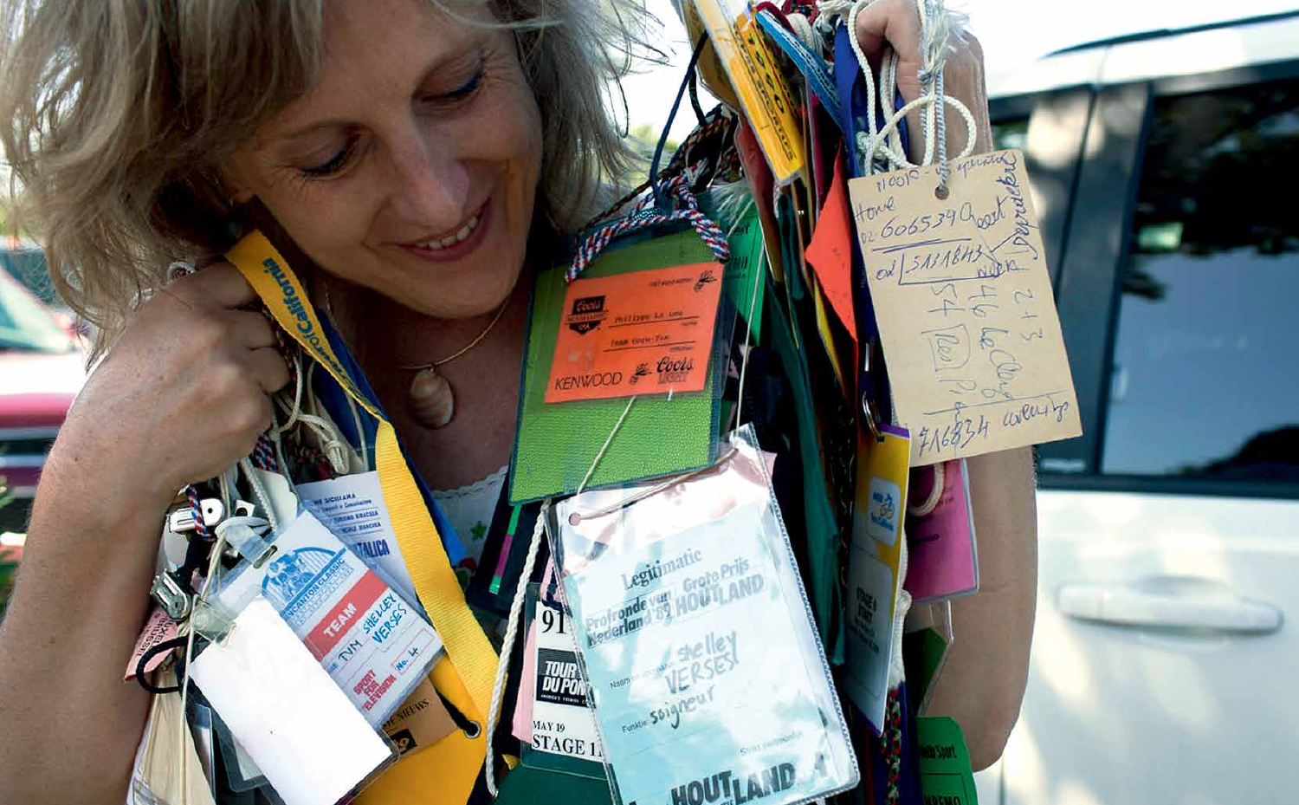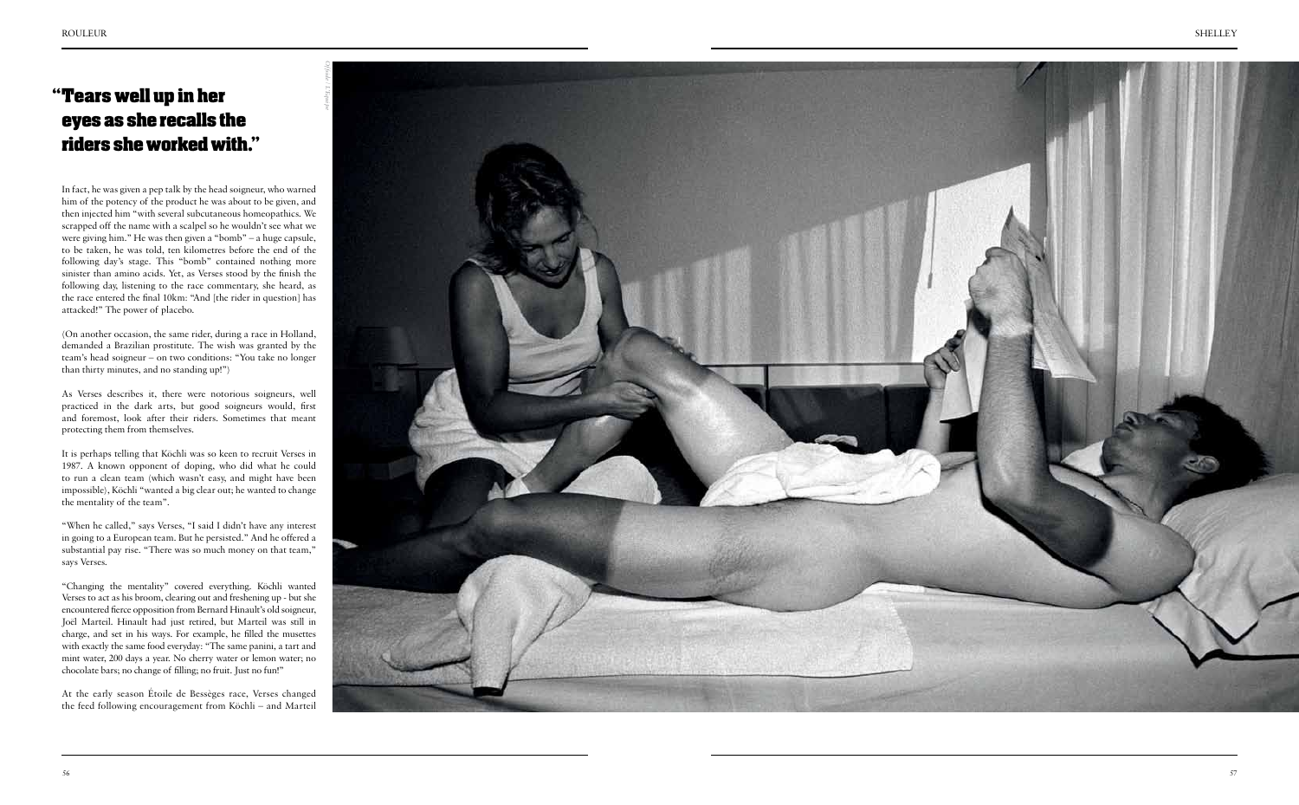In fact, he was given a pep talk by the head soigneur, who warned him of the potency of the product he was about to be given, and then injected him "with several subcutaneous homeopathics. We scrapped off the name with a scalpel so he wouldn't see what we were giving him." He was then given a "bomb" – a huge capsule, to be taken, he was told, ten kilometres before the end of the following day's stage. This "bomb" contained nothing more sinister than amino acids. Yet, as Verses stood by the finish the following day, listening to the race commentary, she heard, as the race entered the final 10km: "And [the rider in question] has attacked!" The power of placebo.

(On another occasion, the same rider, during a race in Holland, demanded a Brazilian prostitute. The wish was granted by the team's head soigneur – on two conditions: "You take no longer than thirty minutes, and no standing up!")

As Verses describes it, there were notorious soigneurs, well practiced in the dark arts, but good soigneurs would, first and foremost, look after their riders. Sometimes that meant protecting them from themselves.

It is perhaps telling that Köchli was so keen to recruit Verses in 1987. A known opponent of doping, who did what he could to run a clean team (which wasn't easy, and might have been impossible), Köchli "wanted a big clear out; he wanted to change the mentality of the team".

"When he called," says Verses, "I said I didn't have any interest in going to a European team. But he persisted." And he offered a substantial pay rise. "There was so much money on that team," says Verses.

"Changing the mentality" covered everything. Köchli wanted Verses to act as his broom, clearing out and freshening up - but she encountered fierce opposition from Bernard Hinault's old soigneur, Joël Marteil. Hinault had just retired, but Marteil was still in charge, and set in his ways. For example, he filled the musettes with exactly the same food everyday: "The same panini, a tart and mint water, 200 days a year. No cherry water or lemon water; no chocolate bars; no change of filling; no fruit. Just no fun!"

At the early season Étoile de Bessèges race, Verses changed the feed following encouragement from Köchli – and Marteil

# **"Tears well up in her eyes as she recalls the riders she worked with."**

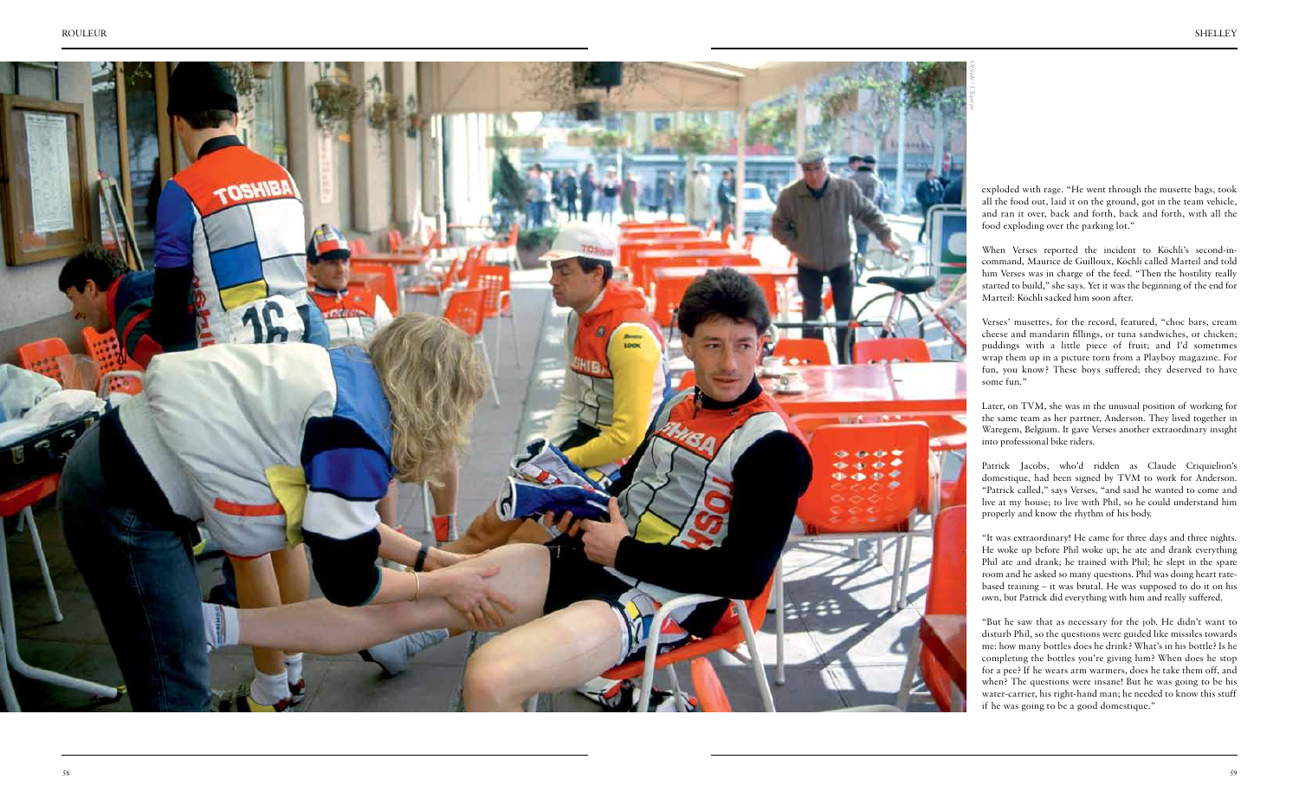exploded with rage. "He went through the musette bags, took all the food out, laid it on the ground, got in the team vehicle, and ran it over, back and forth, back and forth, with all the food exploding over the parking lot."

When Verses reported the incident to Köchli's second-incommand, Maurice de Guilloux, Köchli called Marteil and told him Verses was in charge of the feed. "Then the hostility really started to build," she says. Yet it was the beginning of the end for Marteil: Köchli sacked him soon after.

Verses' musettes, for the record, featured, "choc bars, cream cheese and mandarin fillings, or tuna sandwiches, or chicken; puddings with a little piece of fruit; and I'd sometimes wrap them up in a picture torn from a Playboy magazine. For fun, you know? These boys suffered; they deserved to have some fun."

Later, on TVM, she was in the unusual position of working for the same team as her partner, Anderson. They lived together in Waregem, Belgium. It gave Verses another extraordinary insight into professional bike riders.

Patrick Jacobs, who'd ridden as Claude Criquielion's domestique, had been signed by TVM to work for Anderson. "Patrick called," says Verses, "and said he wanted to come and live at my house; to live with Phil, so he could understand him properly and know the rhythm of his body.

"It was extraordinary! He came for three days and three nights. He woke up before Phil woke up; he ate and drank everything Phil ate and drank; he trained with Phil; he slept in the spare room and he asked so many questions. Phil was doing heart ratebased training – it was brutal. He was supposed to do it on his own, but Patrick did everything with him and really suffered.

"But he saw that as necessary for the job. He didn't want to disturb Phil, so the questions were guided like missiles towards me: how many bottles does he drink? What's in his bottle? Is he completing the bottles you're giving him? When does he stop for a pee? If he wears arm warmers, does he take them off, and when? The questions were insane! But he was going to be his water-carrier, his right-hand man; he needed to know this stuff if he was going to be a good domestique."